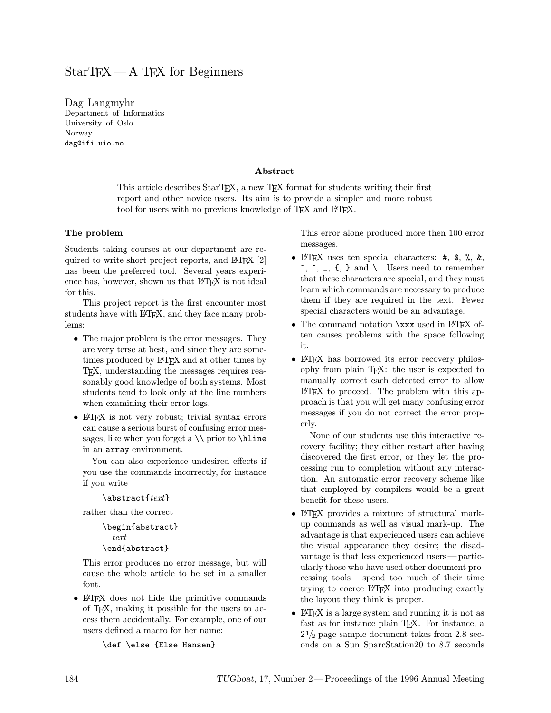# $StarTrX - A TrX$  for Beginners

Dag Langmyhr Department of Informatics University of Oslo Norway dag@ifi.uio.no

#### Abstract

This article describes StarTFX, a new TFX format for students writing their first report and other novice users. Its aim is to provide a simpler and more robust tool for users with no previous knowledge of T<sub>EX</sub> and L<sup>AT</sup>EX.

#### The problem

Students taking courses at our department are required to write short project reports, and  $\mathbb{E}[X, \mathbb{E}[Z]]$ has been the preferred tool. Several years experience has, however, shown us that LAT<sub>E</sub>X is not ideal for this.

This project report is the first encounter most students have with LAT<sub>EX</sub>, and they face many problems:

- The major problem is the error messages. They are very terse at best, and since they are sometimes produced by L<sup>AT</sup>EX and at other times by TEX, understanding the messages requires reasonably good knowledge of both systems. Most students tend to look only at the line numbers when examining their error logs.
- LAT<sub>F</sub>X is not very robust; trivial syntax errors can cause a serious burst of confusing error messages, like when you forget a  $\iota$  prior to  $\hbar$ ine in an array environment.

You can also experience undesired effects if you use the commands incorrectly, for instance if you write

```
\abstract{text}
```
rather than the correct

```
\begin{abstract}
  text
\end{abstract}
```
This error produces no error message, but will cause the whole article to be set in a smaller font.

• LATEX does not hide the primitive commands of TEX, making it possible for the users to access them accidentally. For example, one of our users defined a macro for her name:

\def \else {Else Hansen}

This error alone produced more then 100 error messages.

- LATEX uses ten special characters: #, \$, %, &,  $\tilde{\ }$ ,  $\hat{\ }$ ,  $\tilde{\ }$ ,  $\tilde{\ }$ ,  $\tilde{\ }$ ,  $\tilde{\ }$ ,  $\tilde{\ }$ ,  $\tilde{\ }$ ,  $\tilde{\ }$ ,  $\tilde{\ }$ ,  $\tilde{\ }$ ,  $\tilde{\ }$ ,  $\tilde{\ }$ ,  $\tilde{\ }$ ,  $\tilde{\ }$ ,  $\tilde{\ }$ ,  $\tilde{\ }$ ,  $\tilde{\ }$ ,  $\tilde{\ }$ ,  $\tilde{\ }$ ,  $\tilde{\ }$ ,  $\tilde{\ }$ ,  $\tilde{\ }$ ,  $\tilde{\ }$ ,  $\tilde{\ }$ that these characters are special, and they must learn which commands are necessary to produce them if they are required in the text. Fewer special characters would be an advantage.
- The command notation \xxx used in LAT<sub>EX</sub> often causes problems with the space following it.
- LAT<sub>EX</sub> has borrowed its error recovery philosophy from plain TEX: the user is expected to manually correct each detected error to allow LATEX to proceed. The problem with this approach is that you will get many confusing error messages if you do not correct the error properly.

None of our students use this interactive recovery facility; they either restart after having discovered the first error, or they let the processing run to completion without any interaction. An automatic error recovery scheme like that employed by compilers would be a great benefit for these users.

- LAT<sub>EX</sub> provides a mixture of structural markup commands as well as visual mark-up. The advantage is that experienced users can achieve the visual appearance they desire; the disadvantage is that less experienced users—particularly those who have used other document processing tools—spend too much of their time trying to coerce LATEX into producing exactly the layout they think is proper.
- LAT<sub>F</sub>X is a large system and running it is not as fast as for instance plain TEX. For instance, a  $2\frac{1}{2}$  page sample document takes from 2.8 seconds on a Sun SparcStation20 to 8.7 seconds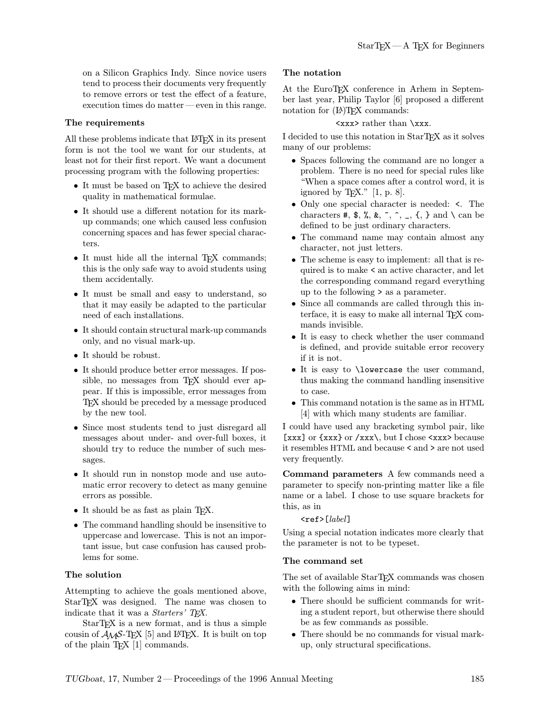on a Silicon Graphics Indy. Since novice users tend to process their documents very frequently to remove errors or test the effect of a feature, execution times do matter—even in this range.

#### The requirements

All these problems indicate that LATEX in its present form is not the tool we want for our students, at least not for their first report. We want a document processing program with the following properties:

- It must be based on TFX to achieve the desired quality in mathematical formulae.
- It should use a different notation for its markup commands; one which caused less confusion concerning spaces and has fewer special characters.
- It must hide all the internal T<sub>EX</sub> commands; this is the only safe way to avoid students using them accidentally.
- It must be small and easy to understand, so that it may easily be adapted to the particular need of each installations.
- It should contain structural mark-up commands only, and no visual mark-up.
- It should be robust.
- It should produce better error messages. If possible, no messages from T<sub>E</sub>X should ever appear. If this is impossible, error messages from TEX should be preceded by a message produced by the new tool.
- Since most students tend to just disregard all messages about under- and over-full boxes, it should try to reduce the number of such messages.
- It should run in nonstop mode and use automatic error recovery to detect as many genuine errors as possible.
- It should be as fast as plain T<sub>E</sub>X.
- The command handling should be insensitive to uppercase and lowercase. This is not an important issue, but case confusion has caused problems for some.

# The solution

Attempting to achieve the goals mentioned above, StarTEX was designed. The name was chosen to indicate that it was a *Starters' TFX*.

StarTEX is a new format, and is thus a simple cousin of  $A_{\mathcal{M}}S$ -T<sub>E</sub>X [5] and L<sup>AT</sup>EX. It is built on top of the plain TEX [1] commands.

# The notation

At the EuroTEX conference in Arhem in September last year, Philip Taylor [6] proposed a different notation for  $(L^{\Delta})$ TFX commands:

#### <xxx> rather than \xxx.

I decided to use this notation in StarTEX as it solves many of our problems:

- Spaces following the command are no longer a problem. There is no need for special rules like "When a space comes after a control word, it is ignored by T<sub>E</sub>X."  $[1, p. 8]$ .
- Only one special character is needed: <. The characters  $\#$ ,  $\*, \*, \*, \hat{\ }$ ,  $\hat{\ }$ ,  $\hat{\ }$ ,  $\hat{\ }$ ,  $\hat{\ }$ ,  $\hat{\ }$ ,  $\hat{\ }$ ,  $\hat{\ }$ ,  $\hat{\ }$ ,  $\hat{\ }$ ,  $\hat{\ }$ ,  $\hat{\ }$ ,  $\hat{\ }$ ,  $\hat{\ }$ ,  $\hat{\ }$ ,  $\hat{\ }$ ,  $\hat{\ }$ ,  $\hat{\ }$ ,  $\hat{\ }$ ,  $\hat{\ }$ ,  $\hat{\ }$ ,  $\hat{\ }$ ,  $\hat{\ }$ ,  $\hat{\ }$ ,  $\hat{\ }$ defined to be just ordinary characters.
- The command name may contain almost any character, not just letters.
- The scheme is easy to implement: all that is required is to make < an active character, and let the corresponding command regard everything up to the following > as a parameter.
- Since all commands are called through this interface, it is easy to make all internal  $T<sub>F</sub>X$  commands invisible.
- It is easy to check whether the user command is defined, and provide suitable error recovery if it is not.
- It is easy to \lowercase the user command, thus making the command handling insensitive to case.
- This command notation is the same as in HTML [4] with which many students are familiar.

I could have used any bracketing symbol pair, like [xxx] or  $\{xxx\}$  or  $\{xxx\}$ , but I chose  $\{xxxx\}$  because it resembles HTML and because < and > are not used very frequently.

Command parameters A few commands need a parameter to specify non-printing matter like a file name or a label. I chose to use square brackets for this, as in

# $\texttt{`ref>[label]}$

Using a special notation indicates more clearly that the parameter is not to be typeset.

# The command set

The set of available StarTFX commands was chosen with the following aims in mind:

- There should be sufficient commands for writing a student report, but otherwise there should be as few commands as possible.
- There should be no commands for visual markup, only structural specifications.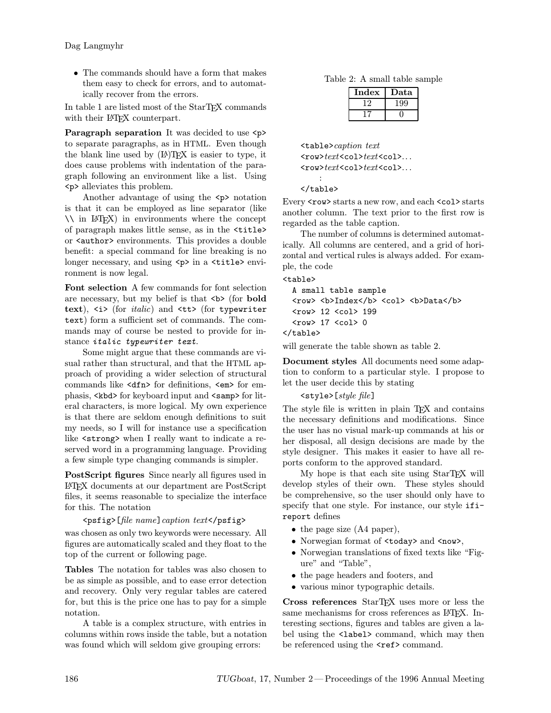• The commands should have a form that makes them easy to check for errors, and to automatically recover from the errors.

In table 1 are listed most of the  $\operatorname{StarT} {\mathbb F} {\mathbf X}$  commands with their L<sup>AT</sup>FX counterpart.

Paragraph separation It was decided to use  $\langle p \rangle$ to separate paragraphs, as in HTML. Even though the blank line used by  $(L)$ T<sub>F</sub>X is easier to type, it does cause problems with indentation of the paragraph following an environment like a list. Using <p> alleviates this problem.

Another advantage of using the  $\langle p \rangle$  notation is that it can be employed as line separator (like \\ in LATEX) in environments where the concept of paragraph makes little sense, as in the <title> or <author> environments. This provides a double benefit: a special command for line breaking is no longer necessary, and using <p> in a <title> environment is now legal.

Font selection A few commands for font selection are necessary, but my belief is that  $\langle b \rangle$  (for **bold** text),  $\langle i \rangle$  (for *italic*) and  $\langle \text{tt} \rangle$  (for typewriter text) form a sufficient set of commands. The commands may of course be nested to provide for instance italic typewriter text.

Some might argue that these commands are visual rather than structural, and that the HTML approach of providing a wider selection of structural commands like <dfn> for definitions, <em> for emphasis, <kbd> for keyboard input and <samp> for literal characters, is more logical. My own experience is that there are seldom enough definitions to suit my needs, so I will for instance use a specification like <strong> when I really want to indicate a reserved word in a programming language. Providing a few simple type changing commands is simpler.

PostScript figures Since nearly all figures used in LATEX documents at our department are PostScript files, it seems reasonable to specialize the interface for this. The notation

# <psfig>[file name]caption text</psfig>

was chosen as only two keywords were necessary. All figures are automatically scaled and they float to the top of the current or following page.

Tables The notation for tables was also chosen to be as simple as possible, and to ease error detection and recovery. Only very regular tables are catered for, but this is the price one has to pay for a simple notation.

A table is a complex structure, with entries in columns within rows inside the table, but a notation was found which will seldom give grouping errors:

| Index | Data |
|-------|------|
|       |      |
|       |      |

<table>caption text <row>text<col>text<col>... <row>text<col>text<col>...

#### : </table>

Every <row> starts a new row, and each <col> starts another column. The text prior to the first row is regarded as the table caption.

The number of columns is determined automatically. All columns are centered, and a grid of horizontal and vertical rules is always added. For example, the code

<table>

```
A small table sample
 <row> <b>Index</b><<ol> <b>Data</b>
 <row> 12 <col> 199
  <row> 17 <col> 0
</table>
```
will generate the table shown as table 2.

Document styles All documents need some adaption to conform to a particular style. I propose to let the user decide this by stating

# <style>[style file]

The style file is written in plain T<sub>EX</sub> and contains the necessary definitions and modifications. Since the user has no visual mark-up commands at his or her disposal, all design decisions are made by the style designer. This makes it easier to have all reports conform to the approved standard.

My hope is that each site using StarTEX will develop styles of their own. These styles should be comprehensive, so the user should only have to specify that one style. For instance, our style ifireport defines

- the page size (A4 paper),
- Norwegian format of <today> and <now>,
- Norwegian translations of fixed texts like "Figure" and "Table",
- the page headers and footers, and
- various minor typographic details.

Cross references StarTEX uses more or less the same mechanisms for cross references as LATFX. Interesting sections, figures and tables are given a label using the <label> command, which may then be referenced using the <ref> command.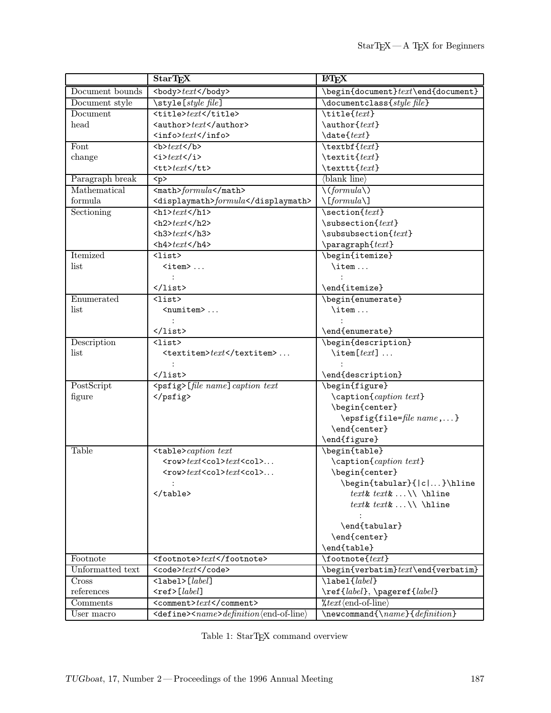|                 | <b>StarTEX</b>                                                     | <b>IATEX</b>                                                                   |  |
|-----------------|--------------------------------------------------------------------|--------------------------------------------------------------------------------|--|
| Document bounds | <body>text</body>                                                  | \begin{document}text\end{document}                                             |  |
| Document style  | \style [style file]                                                | $\dot{\text{degree}}$                                                          |  |
| Document        | <title>text</title>                                                | $\tilde{\text{text}}$                                                          |  |
| head            | <author>text</author>                                              | \author{text}                                                                  |  |
|                 | $\langle$ info> $text$ $\langle$ info>                             | $\text{date}\$                                                                 |  |
| Font            | >text                                                              | $\text{textf}\$                                                                |  |
| change          | $\left\langle i \right\rangle text$ $\left\langle i \right\rangle$ | \textit{text}                                                                  |  |
|                 | $<$ tt>text                                                        | \texttt{text}                                                                  |  |
| Paragraph break | < p >                                                              | $\langle$ blank line $\rangle$                                                 |  |
| Mathematical    | $\verb \\verb math formula$                                        | $\setminus (formula \setminus)$                                                |  |
| formula         | <displaymath>formula</displaymath>                                 | $\left\langle \frac{[formula \setminus ]}{[formula \setminus ]} \right\rangle$ |  |
| Sectioning      | $th1 > text$ /h1>                                                  | $\setminus$ section $\{text\}$                                                 |  |
|                 | $\text{th2}$ >text                                                 | $\simeq$ \subsection{ $text$ }                                                 |  |
|                 | $\text{text<1/h3>$                                                 | $\s$ ubsubsection $\text{text}$                                                |  |
|                 | $42+texth4$                                                        | $\text{param}$                                                                 |  |
| Itemized        | $\langle$ list $\rangle$                                           | \begin{itemize}                                                                |  |
| list            | $\texttt{item}$                                                    | $\iota$ :                                                                      |  |
|                 |                                                                    |                                                                                |  |
|                 | $\langle$ /list>                                                   | \end{itemize}                                                                  |  |
| Enumerated      | $<$ list $>$                                                       | \begin{enumerate}                                                              |  |
| list            | <numitem> </numitem>                                               | \item                                                                          |  |
|                 |                                                                    |                                                                                |  |
|                 | $\langle$ /list>                                                   | \end{enumerate}                                                                |  |
| Description     | $\langle$ list>                                                    | \begin{description}                                                            |  |
| list            | <textitem>text</textitem>                                          | $\setminus$ item[ $text$ ]                                                     |  |
|                 |                                                                    |                                                                                |  |
|                 | $\langle$ /list>                                                   | \end{description}                                                              |  |
| PostScript      | <psfig>[file name] caption text</psfig>                            | \begin{figure}                                                                 |  |
| figure          |                                                                    | $\setminus$ caption $\{caption \textit{text}$                                  |  |
|                 |                                                                    | \begin{center}                                                                 |  |
|                 |                                                                    | \epsfig{file=file name,}                                                       |  |
|                 |                                                                    | \end{center}                                                                   |  |
|                 |                                                                    | \end{figure}                                                                   |  |
| <b>Table</b>    | <table>caption text</table>                                        | \begin{table}                                                                  |  |
|                 | <row>text<col/>text<col/></row>                                    | \caption{caption text}                                                         |  |
|                 | $<$ row> $text$ <col/> $text$ <col/>                               | \begin{center}                                                                 |  |
|                 |                                                                    | \begin{tabular}{ c }\hline                                                     |  |
|                 |                                                                    |                                                                                |  |

 $text$ &  $text$ & \\ \hline ||  |  | $text& text&\\ \hfill\hfill$ |
|  |  |  |
|  |  | \end{tabular} |
|  |  | \end{center} |
|  |  | \end{table} |
| Footnote | text | $\setminus$ footnote $\{text\}$ |
| Unformatted text | `text` | $\begin{equation*} \begin{cases} \text{event} = \text{event} \setminus \text{event} \setminus \text{event} \setminus \text{event} \setminus \text{next} \setminus \text{next} \end{cases} \end{equation*}$ |
| Cross | $\texttt{{\char'134}label[label]{038}label{038}$ | \label{*label*} |
| references | $ref>[label]$ | \ref{label}, \pageref{label} |
| Comments | $<$ comment> $text$  / comment> | $\%text{text}(end-of-line)$ |
| User macro | definition(end-of-line) | $\newcommand{\\max_1\cdot\mathit{definition}$ |

| Table 1: StarTFX command overview |  |  |
|-----------------------------------|--|--|
|-----------------------------------|--|--|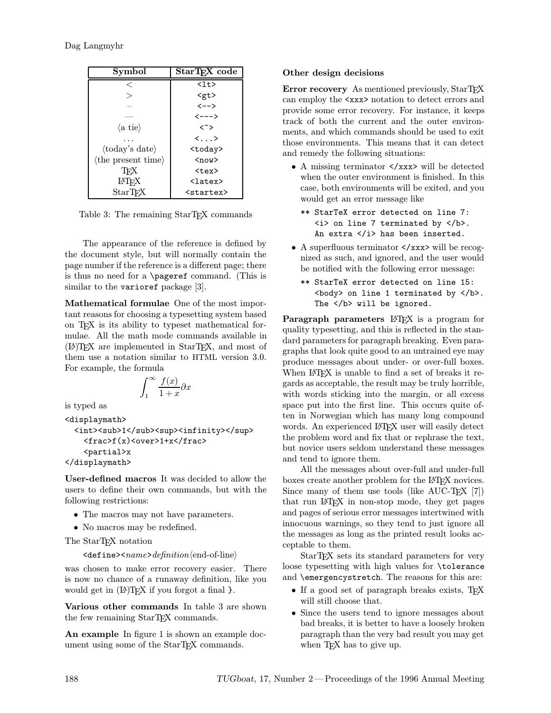| Symbol                                | StarT <sub>F</sub> X code      |
|---------------------------------------|--------------------------------|
| $\,<\,$                               | $\langle$ lt>                  |
|                                       | <gt></gt>                      |
|                                       | $\left\langle --\right\rangle$ |
|                                       | <--->                          |
| $\langle a \t{tie} \rangle$           | $\langle \tilde{\ })$          |
|                                       | $\langle \ldots \rangle$       |
| $\langle \text{today's date} \rangle$ | <today></today>                |
| $\langle$ the present time $\rangle$  | $now$                          |
| TFX                                   | $<$ tex $>$                    |
| <b>IAT<sub>F</sub>X</b>               | $\langle$ latex $\rangle$      |
| <b>StarTFX</b>                        | <startex></startex>            |

Table 3: The remaining StarT<sub>EX</sub> commands

The appearance of the reference is defined by the document style, but will normally contain the page number if the reference is a different page; there is thus no need for a \pageref command. (This is similar to the varioref package [3].

Mathematical formulae One of the most important reasons for choosing a typesetting system based on TEX is its ability to typeset mathematical formulae. All the math mode commands available in (LA)TEX are implemented in StarTEX, and most of them use a notation similar to HTML version 3.0. For example, the formula

$$
\int_1^\infty \frac{f(x)}{1+x} \partial x
$$

is typed as

```
<displaymath>
 <int><sub>1</sub><sup><infinity></sup>
    <frac>f(x)<over>1+x</frac>
    <partial>x
</displaymath>
```
User-defined macros It was decided to allow the users to define their own commands, but with the following restrictions:

- The macros may not have parameters.
- No macros may be redefined.

The StarTEX notation

 $\langle$ define> $\langle$ name>definition $\langle$ end-of-line $\rangle$ 

was chosen to make error recovery easier. There is now no chance of a runaway definition, like you would get in  $(E)$ TEX if you forgot a final  $\}$ .

Various other commands In table 3 are shown the few remaining  $StarTr X$  commands.

An example In figure 1 is shown an example document using some of the StarTFX commands.

# Other design decisions

Error recovery As mentioned previously, StarTEX can employ the <xxx> notation to detect errors and provide some error recovery. For instance, it keeps track of both the current and the outer environments, and which commands should be used to exit those environments. This means that it can detect and remedy the following situations:

- A missing terminator  $\langle x \rangle$  will be detected when the outer environment is finished. In this case, both environments will be exited, and you would get an error message like
	- \*\* StarTeX error detected on line 7: <i> on line 7 terminated by </b>. An extra </i> has been inserted.
- A superfluous terminator  $\langle x \rangle$  will be recognized as such, and ignored, and the user would be notified with the following error message:
	- \*\* StarTeX error detected on line 15: <br />body> on line 1 terminated by </b>. The </b> will be ignored.

Paragraph parameters LATEX is a program for quality typesetting, and this is reflected in the standard parameters for paragraph breaking. Even paragraphs that look quite good to an untrained eye may produce messages about under- or over-full boxes. When LAT<sub>EX</sub> is unable to find a set of breaks it regards as acceptable, the result may be truly horrible, with words sticking into the margin, or all excess space put into the first line. This occurs quite often in Norwegian which has many long compound words. An experienced LAT<sub>EX</sub> user will easily detect the problem word and fix that or rephrase the text, but novice users seldom understand these messages and tend to ignore them.

All the messages about over-full and under-full boxes create another problem for the L<sup>AT</sup>EX novices. Since many of them use tools (like  $AUC-TFX$  [7]) that run LATEX in non-stop mode, they get pages and pages of serious error messages intertwined with innocuous warnings, so they tend to just ignore all the messages as long as the printed result looks acceptable to them.

StarTEX sets its standard parameters for very loose typesetting with high values for \tolerance and \emergencystretch. The reasons for this are:

- If a good set of paragraph breaks exists, TFX will still choose that.
- Since the users tend to ignore messages about bad breaks, it is better to have a loosely broken paragraph than the very bad result you may get when T<sub>F</sub>X has to give up.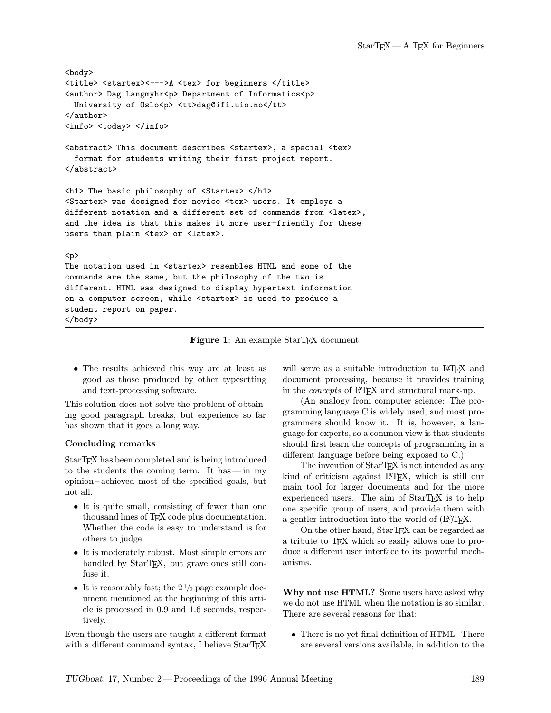```
<body>
<title> <startex><--->A <tex> for beginners </title>
<author> Dag Langmyhr<p> Department of Informatics<p>
  University of Oslo<p> <tt>dag@ifi.uio.no</tt>
</author>
<info> <today> </info>
<abstract> This document describes <startex>, a special <tex>
  format for students writing their first project report.
</abstract>
<h1> The basic philosophy of <Startex> </h1>
<Startex> was designed for novice <tex> users. It employs a
different notation and a different set of commands from <latex>,
and the idea is that this makes it more user-friendly for these
users than plain <tex> or <latex>.
<p>
The notation used in <startex> resembles HTML and some of the
commands are the same, but the philosophy of the two is
different. HTML was designed to display hypertext information
on a computer screen, while <startex> is used to produce a
student report on paper.
</body>
```
Figure 1: An example StarT<sub>F</sub>X document

• The results achieved this way are at least as good as those produced by other typesetting and text-processing software.

This solution does not solve the problem of obtaining good paragraph breaks, but experience so far has shown that it goes a long way.

#### Concluding remarks

StarTEX has been completed and is being introduced to the students the coming term. It has—in my opinion– achieved most of the specified goals, but not all.

- It is quite small, consisting of fewer than one thousand lines of TEX code plus documentation. Whether the code is easy to understand is for others to judge.
- It is moderately robust. Most simple errors are handled by StarT<sub>F</sub>X, but grave ones still confuse it.
- It is reasonably fast; the  $2\frac{1}{2}$  page example document mentioned at the beginning of this article is processed in 0.9 and 1.6 seconds, respectively.

Even though the users are taught a different format with a different command syntax, I believe StarTFX will serve as a suitable introduction to LAT<sub>EX</sub> and document processing, because it provides training in the *concepts* of L<sup>AT</sup>FX and structural mark-up.

(An analogy from computer science: The programming language C is widely used, and most programmers should know it. It is, however, a language for experts, so a common view is that students should first learn the concepts of programming in a different language before being exposed to C.)

The invention of StarTEX is not intended as any kind of criticism against L<sup>AT</sup>FX, which is still our main tool for larger documents and for the more experienced users. The aim of StarT<sub>EX</sub> is to help one specific group of users, and provide them with a gentler introduction into the world of  $(L)$ <sup>T</sup>EX.

On the other hand, StarTEX can be regarded as a tribute to T<sub>EX</sub> which so easily allows one to produce a different user interface to its powerful mechanisms.

Why not use HTML? Some users have asked why we do not use HTML when the notation is so similar. There are several reasons for that:

• There is no yet final definition of HTML. There are several versions available, in addition to the